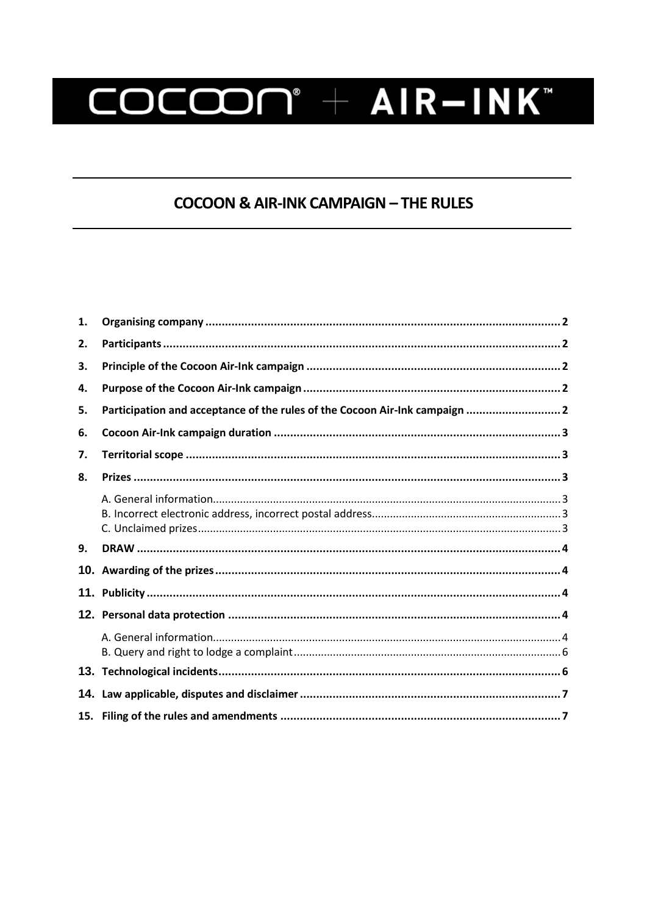# COCCON® + AIR-INK®

## **COCOON & AIR-INK CAMPAIGN - THE RULES**

| 9. |                                                                             |  |
|----|-----------------------------------------------------------------------------|--|
|    |                                                                             |  |
| 8. |                                                                             |  |
| 7. |                                                                             |  |
| 6. |                                                                             |  |
| 5. | Participation and acceptance of the rules of the Cocoon Air-Ink campaign  2 |  |
| 4. |                                                                             |  |
| 3. |                                                                             |  |
| 2. |                                                                             |  |
| 1. |                                                                             |  |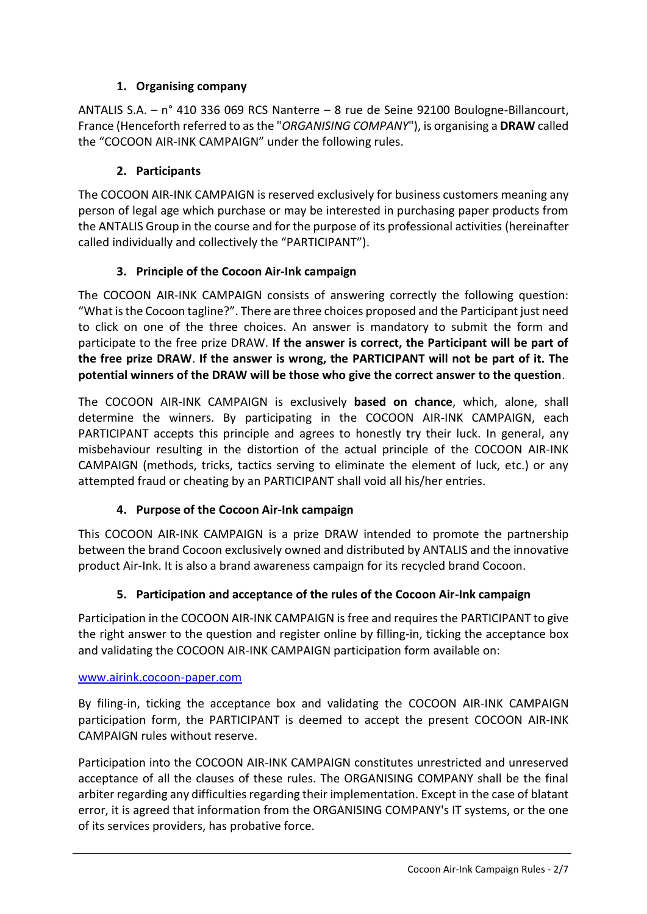## **1. Organising company**

<span id="page-1-0"></span>ANTALIS S.A. – n° 410 336 069 RCS Nanterre – 8 rue de Seine 92100 Boulogne-Billancourt, France (Henceforth referred to as the "*ORGANISING COMPANY*"), is organising a **DRAW** called the "COCOON AIR-INK CAMPAIGN" under the following rules.

## **2. Participants**

<span id="page-1-1"></span>The COCOON AIR-INK CAMPAIGN is reserved exclusively for business customers meaning any person of legal age which purchase or may be interested in purchasing paper products from the ANTALIS Group in the course and for the purpose of its professional activities (hereinafter called individually and collectively the "PARTICIPANT").

## **3. Principle of the Cocoon Air-Ink campaign**

<span id="page-1-2"></span>The COCOON AIR-INK CAMPAIGN consists of answering correctly the following question: "What is the Cocoon tagline?". There are three choices proposed and the Participant just need to click on one of the three choices. An answer is mandatory to submit the form and participate to the free prize DRAW. **If the answer is correct, the Participant will be part of the free prize DRAW**. **If the answer is wrong, the PARTICIPANT will not be part of it. The potential winners of the DRAW will be those who give the correct answer to the question**.

The COCOON AIR-INK CAMPAIGN is exclusively **based on chance**, which, alone, shall determine the winners. By participating in the COCOON AIR-INK CAMPAIGN, each PARTICIPANT accepts this principle and agrees to honestly try their luck. In general, any misbehaviour resulting in the distortion of the actual principle of the COCOON AIR-INK CAMPAIGN (methods, tricks, tactics serving to eliminate the element of luck, etc.) or any attempted fraud or cheating by an PARTICIPANT shall void all his/her entries.

## **4. Purpose of the Cocoon Air-Ink campaign**

<span id="page-1-3"></span>This COCOON AIR-INK CAMPAIGN is a prize DRAW intended to promote the partnership between the brand Cocoon exclusively owned and distributed by ANTALIS and the innovative product Air-Ink. It is also a brand awareness campaign for its recycled brand Cocoon.

## **5. Participation and acceptance of the rules of the Cocoon Air-Ink campaign**

<span id="page-1-4"></span>Participation in the COCOON AIR-INK CAMPAIGN is free and requires the PARTICIPANT to give the right answer to the question and register online by filling-in, ticking the acceptance box and validating the COCOON AIR-INK CAMPAIGN participation form available on:

#### [www.airink.cocoon-paper.com](http://www.airink.cocoon-paper.com/)

By filing-in, ticking the acceptance box and validating the COCOON AIR-INK CAMPAIGN participation form, the PARTICIPANT is deemed to accept the present COCOON AIR-INK CAMPAIGN rules without reserve.

Participation into the COCOON AIR-INK CAMPAIGN constitutes unrestricted and unreserved acceptance of all the clauses of these rules. The ORGANISING COMPANY shall be the final arbiter regarding any difficulties regarding their implementation. Except in the case of blatant error, it is agreed that information from the ORGANISING COMPANY's IT systems, or the one of its services providers, has probative force.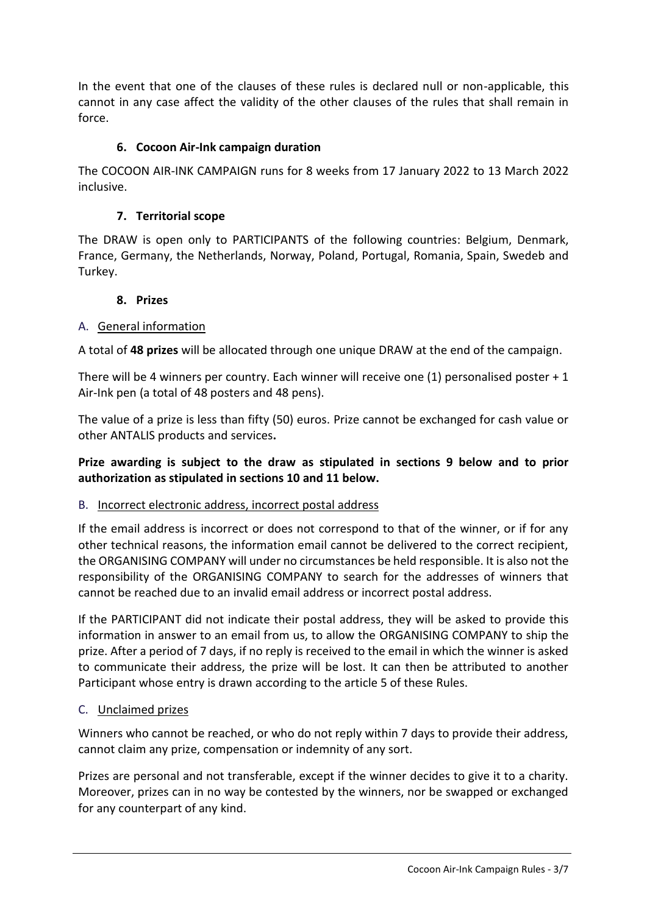In the event that one of the clauses of these rules is declared null or non-applicable, this cannot in any case affect the validity of the other clauses of the rules that shall remain in force.

### **6. Cocoon Air-Ink campaign duration**

<span id="page-2-0"></span>The COCOON AIR-INK CAMPAIGN runs for 8 weeks from 17 January 2022 to 13 March 2022 inclusive.

### **7. Territorial scope**

<span id="page-2-1"></span>The DRAW is open only to PARTICIPANTS of the following countries: Belgium, Denmark, France, Germany, the Netherlands, Norway, Poland, Portugal, Romania, Spain, Swedeb and Turkey.

#### **8. Prizes**

### <span id="page-2-3"></span><span id="page-2-2"></span>A. General information

A total of **48 prizes** will be allocated through one unique DRAW at the end of the campaign.

There will be 4 winners per country. Each winner will receive one (1) personalised poster + 1 Air-Ink pen (a total of 48 posters and 48 pens).

The value of a prize is less than fifty (50) euros. Prize cannot be exchanged for cash value or other ANTALIS products and services**.**

## **Prize awarding is subject to the draw as stipulated in sections 9 below and to prior authorization as stipulated in sections 10 and 11 below.**

#### <span id="page-2-4"></span>B. Incorrect electronic address, incorrect postal address

If the email address is incorrect or does not correspond to that of the winner, or if for any other technical reasons, the information email cannot be delivered to the correct recipient, the ORGANISING COMPANY will under no circumstances be held responsible. It is also not the responsibility of the ORGANISING COMPANY to search for the addresses of winners that cannot be reached due to an invalid email address or incorrect postal address.

If the PARTICIPANT did not indicate their postal address, they will be asked to provide this information in answer to an email from us, to allow the ORGANISING COMPANY to ship the prize. After a period of 7 days, if no reply is received to the email in which the winner is asked to communicate their address, the prize will be lost. It can then be attributed to another Participant whose entry is drawn according to the article 5 of these Rules.

#### <span id="page-2-5"></span>C. Unclaimed prizes

Winners who cannot be reached, or who do not reply within 7 days to provide their address, cannot claim any prize, compensation or indemnity of any sort.

Prizes are personal and not transferable, except if the winner decides to give it to a charity. Moreover, prizes can in no way be contested by the winners, nor be swapped or exchanged for any counterpart of any kind.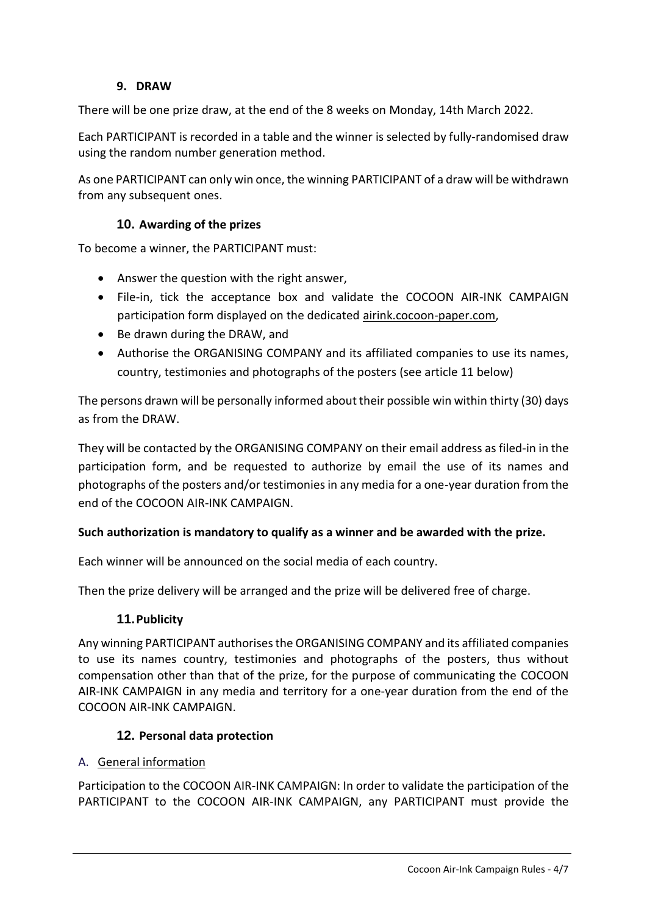## **9. DRAW**

<span id="page-3-0"></span>There will be one prize draw, at the end of the 8 weeks on Monday, 14th March 2022.

Each PARTICIPANT is recorded in a table and the winner is selected by fully-randomised draw using the random number generation method.

As one PARTICIPANT can only win once, the winning PARTICIPANT of a draw will be withdrawn from any subsequent ones.

#### <span id="page-3-1"></span>**10. Awarding of the prizes**

To become a winner, the PARTICIPANT must:

- Answer the question with the right answer,
- File-in, tick the acceptance box and validate the COCOON AIR-INK CAMPAIGN participation form displayed on the dedicated airink.cocoon-paper.com,
- Be drawn during the DRAW, and
- Authorise the ORGANISING COMPANY and its affiliated companies to use its names, country, testimonies and photographs of the posters (see article 11 below)

The persons drawn will be personally informed about their possible win within thirty (30) days as from the DRAW.

They will be contacted by the ORGANISING COMPANY on their email address as filed-in in the participation form, and be requested to authorize by email the use of its names and photographs of the posters and/or testimonies in any media for a one-year duration from the end of the COCOON AIR-INK CAMPAIGN.

#### **Such authorization is mandatory to qualify as a winner and be awarded with the prize.**

Each winner will be announced on the social media of each country.

<span id="page-3-2"></span>Then the prize delivery will be arranged and the prize will be delivered free of charge.

#### **11.Publicity**

Any winning PARTICIPANT authorises the ORGANISING COMPANY and its affiliated companies to use its names country, testimonies and photographs of the posters, thus without compensation other than that of the prize, for the purpose of communicating the COCOON AIR-INK CAMPAIGN in any media and territory for a one-year duration from the end of the COCOON AIR-INK CAMPAIGN.

#### <span id="page-3-3"></span>**12. Personal data protection**

#### <span id="page-3-4"></span>A. General information

Participation to the COCOON AIR-INK CAMPAIGN: In order to validate the participation of the PARTICIPANT to the COCOON AIR-INK CAMPAIGN, any PARTICIPANT must provide the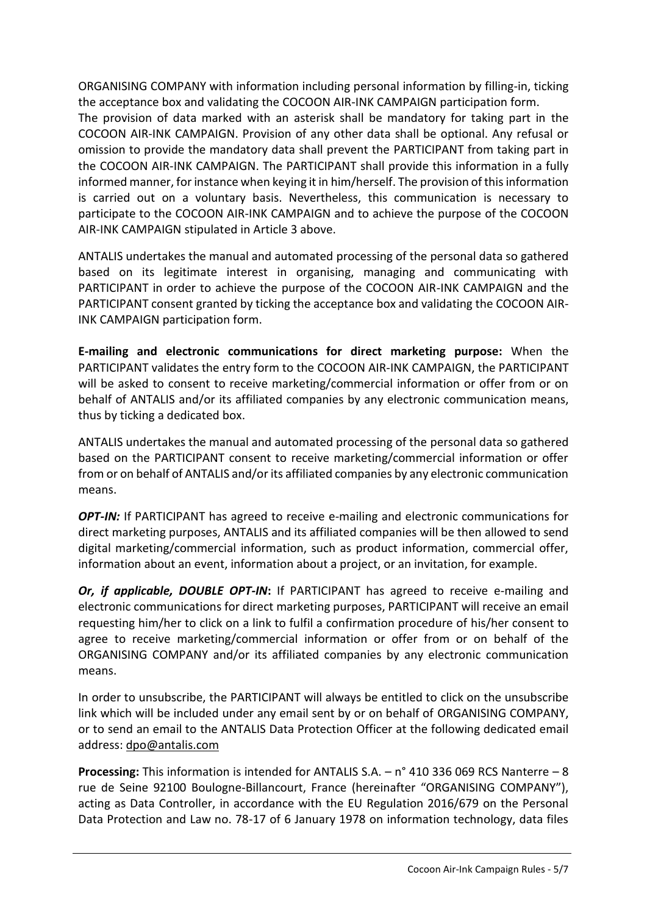ORGANISING COMPANY with information including personal information by filling-in, ticking the acceptance box and validating the COCOON AIR-INK CAMPAIGN participation form. The provision of data marked with an asterisk shall be mandatory for taking part in the COCOON AIR-INK CAMPAIGN. Provision of any other data shall be optional. Any refusal or omission to provide the mandatory data shall prevent the PARTICIPANT from taking part in the COCOON AIR-INK CAMPAIGN. The PARTICIPANT shall provide this information in a fully informed manner, for instance when keying it in him/herself. The provision of this information is carried out on a voluntary basis. Nevertheless, this communication is necessary to participate to the COCOON AIR-INK CAMPAIGN and to achieve the purpose of the COCOON AIR-INK CAMPAIGN stipulated in Article 3 above.

ANTALIS undertakes the manual and automated processing of the personal data so gathered based on its legitimate interest in organising, managing and communicating with PARTICIPANT in order to achieve the purpose of the COCOON AIR-INK CAMPAIGN and the PARTICIPANT consent granted by ticking the acceptance box and validating the COCOON AIR-INK CAMPAIGN participation form.

**E-mailing and electronic communications for direct marketing purpose:** When the PARTICIPANT validates the entry form to the COCOON AIR-INK CAMPAIGN, the PARTICIPANT will be asked to consent to receive marketing/commercial information or offer from or on behalf of ANTALIS and/or its affiliated companies by any electronic communication means, thus by ticking a dedicated box.

ANTALIS undertakes the manual and automated processing of the personal data so gathered based on the PARTICIPANT consent to receive marketing/commercial information or offer from or on behalf of ANTALIS and/or its affiliated companies by any electronic communication means.

*OPT-IN:* If PARTICIPANT has agreed to receive e-mailing and electronic communications for direct marketing purposes, ANTALIS and its affiliated companies will be then allowed to send digital marketing/commercial information, such as product information, commercial offer, information about an event, information about a project, or an invitation, for example.

*Or, if applicable, DOUBLE OPT-IN***:** If PARTICIPANT has agreed to receive e-mailing and electronic communications for direct marketing purposes, PARTICIPANT will receive an email requesting him/her to click on a link to fulfil a confirmation procedure of his/her consent to agree to receive marketing/commercial information or offer from or on behalf of the ORGANISING COMPANY and/or its affiliated companies by any electronic communication means.

In order to unsubscribe, the PARTICIPANT will always be entitled to click on the unsubscribe link which will be included under any email sent by or on behalf of ORGANISING COMPANY, or to send an email to the ANTALIS Data Protection Officer at the following dedicated email address: [dpo@antalis.com](mailto:dpo@antalis.com)

**Processing:** This information is intended for ANTALIS S.A. – n° 410 336 069 RCS Nanterre – 8 rue de Seine 92100 Boulogne-Billancourt, France (hereinafter "ORGANISING COMPANY"), acting as Data Controller, in accordance with the EU Regulation 2016/679 on the Personal Data Protection and Law no. 78-17 of 6 January 1978 on information technology, data files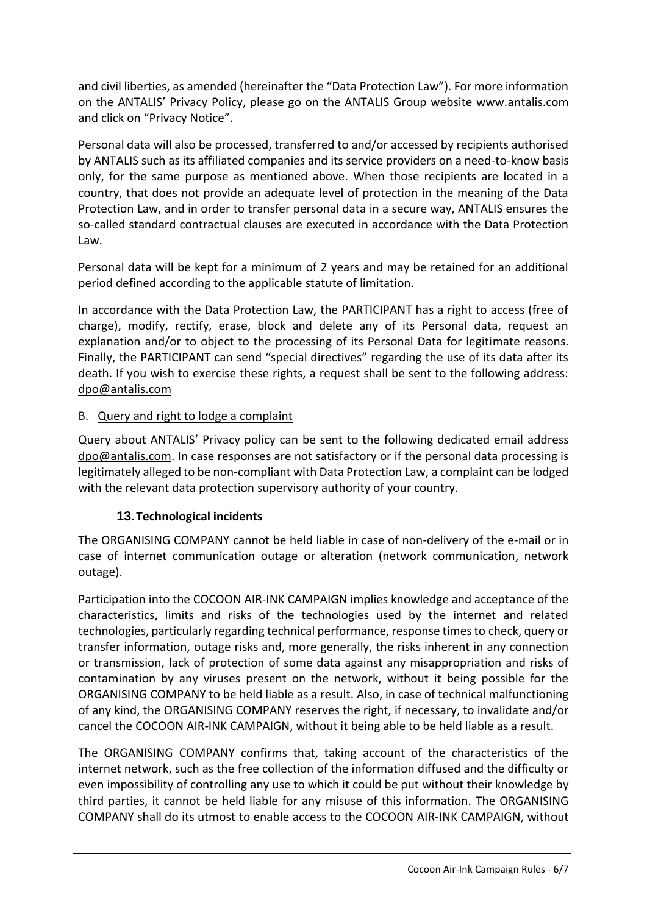and civil liberties, as amended (hereinafter the "Data Protection Law"). For more information on the ANTALIS' Privacy Policy, please go on the ANTALIS Group website www.antalis.com and click on "Privacy Notice".

Personal data will also be processed, transferred to and/or accessed by recipients authorised by ANTALIS such as its affiliated companies and its service providers on a need-to-know basis only, for the same purpose as mentioned above. When those recipients are located in a country, that does not provide an adequate level of protection in the meaning of the Data Protection Law, and in order to transfer personal data in a secure way, ANTALIS ensures the so-called standard contractual clauses are executed in accordance with the Data Protection Law.

Personal data will be kept for a minimum of 2 years and may be retained for an additional period defined according to the applicable statute of limitation.

In accordance with the Data Protection Law, the PARTICIPANT has a right to access (free of charge), modify, rectify, erase, block and delete any of its Personal data, request an explanation and/or to object to the processing of its Personal Data for legitimate reasons. Finally, the PARTICIPANT can send "special directives" regarding the use of its data after its death. If you wish to exercise these rights, a request shall be sent to the following address: [dpo@antalis.com](mailto:dpo@antalis.com)

## <span id="page-5-0"></span>B. Query and right to lodge a complaint

Query about ANTALIS' Privacy policy can be sent to the following dedicated email address [dpo@antalis.com.](mailto:dpo@antalis.com) In case responses are not satisfactory or if the personal data processing is legitimately alleged to be non-compliant with Data Protection Law, a complaint can be lodged with the relevant data protection supervisory authority of your country.

## **13.Technological incidents**

<span id="page-5-1"></span>The ORGANISING COMPANY cannot be held liable in case of non-delivery of the e-mail or in case of internet communication outage or alteration (network communication, network outage).

Participation into the COCOON AIR-INK CAMPAIGN implies knowledge and acceptance of the characteristics, limits and risks of the technologies used by the internet and related technologies, particularly regarding technical performance, response times to check, query or transfer information, outage risks and, more generally, the risks inherent in any connection or transmission, lack of protection of some data against any misappropriation and risks of contamination by any viruses present on the network, without it being possible for the ORGANISING COMPANY to be held liable as a result. Also, in case of technical malfunctioning of any kind, the ORGANISING COMPANY reserves the right, if necessary, to invalidate and/or cancel the COCOON AIR-INK CAMPAIGN, without it being able to be held liable as a result.

The ORGANISING COMPANY confirms that, taking account of the characteristics of the internet network, such as the free collection of the information diffused and the difficulty or even impossibility of controlling any use to which it could be put without their knowledge by third parties, it cannot be held liable for any misuse of this information. The ORGANISING COMPANY shall do its utmost to enable access to the COCOON AIR-INK CAMPAIGN, without